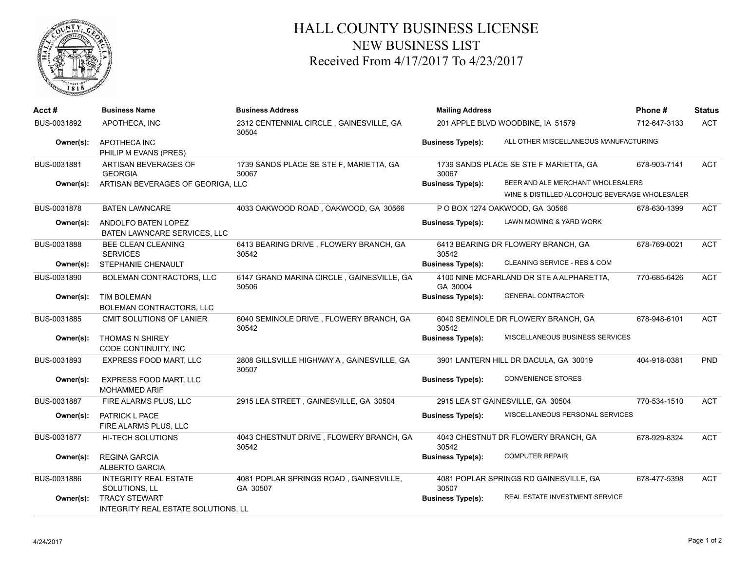

## HALL COUNTY BUSINESS LICENSE NEW BUSINESS LIST Received From 4/17/2017 To 4/23/2017

| Acct#       | <b>Business Name</b>                                        | <b>Business Address</b>                             | <b>Mailing Address</b>            |                                                | Phone#       | <b>Status</b> |
|-------------|-------------------------------------------------------------|-----------------------------------------------------|-----------------------------------|------------------------------------------------|--------------|---------------|
| BUS-0031892 | APOTHECA. INC                                               | 2312 CENTENNIAL CIRCLE, GAINESVILLE, GA<br>30504    | 201 APPLE BLVD WOODBINE, IA 51579 |                                                | 712-647-3133 | <b>ACT</b>    |
| Owner(s):   | APOTHECA INC<br>PHILIP M EVANS (PRES)                       |                                                     | <b>Business Type(s):</b>          | ALL OTHER MISCELLANEOUS MANUFACTURING          |              |               |
| BUS-0031881 | ARTISAN BEVERAGES OF<br><b>GEORGIA</b>                      | 1739 SANDS PLACE SE STE F, MARIETTA, GA<br>30067    | 30067                             | 1739 SANDS PLACE SE STE F MARIETTA, GA         | 678-903-7141 | <b>ACT</b>    |
| Owner(s):   | ARTISAN BEVERAGES OF GEORIGA, LLC                           |                                                     | <b>Business Type(s):</b>          | BEER AND ALE MERCHANT WHOLESALERS              |              |               |
|             |                                                             |                                                     |                                   | WINE & DISTILLED ALCOHOLIC BEVERAGE WHOLESALER |              |               |
| BUS-0031878 | <b>BATEN LAWNCARE</b>                                       | 4033 OAKWOOD ROAD, OAKWOOD, GA 30566                |                                   | P O BOX 1274 OAKWOOD, GA 30566                 | 678-630-1399 | <b>ACT</b>    |
| Owner(s):   | ANDOLFO BATEN LOPEZ<br>BATEN LAWNCARE SERVICES, LLC         |                                                     | <b>Business Type(s):</b>          | LAWN MOWING & YARD WORK                        |              |               |
| BUS-0031888 | <b>BEE CLEAN CLEANING</b><br><b>SERVICES</b>                | 6413 BEARING DRIVE, FLOWERY BRANCH, GA<br>30542     | 30542                             | 6413 BEARING DR FLOWERY BRANCH, GA             | 678-769-0021 | <b>ACT</b>    |
| Owner(s):   | STEPHANIE CHENAULT                                          |                                                     | <b>Business Type(s):</b>          | CLEANING SERVICE - RES & COM                   |              |               |
| BUS-0031890 | <b>BOLEMAN CONTRACTORS, LLC</b>                             | 6147 GRAND MARINA CIRCLE, GAINESVILLE, GA<br>30506  | GA 30004                          | 4100 NINE MCFARLAND DR STE A ALPHARETTA,       | 770-685-6426 | <b>ACT</b>    |
| Owner(s):   | <b>TIM BOLEMAN</b><br>BOLEMAN CONTRACTORS, LLC              |                                                     | <b>Business Type(s):</b>          | <b>GENERAL CONTRACTOR</b>                      |              |               |
| BUS-0031885 | CMIT SOLUTIONS OF LANIER                                    | 6040 SEMINOLE DRIVE, FLOWERY BRANCH, GA<br>30542    | 30542                             | 6040 SEMINOLE DR FLOWERY BRANCH, GA            | 678-948-6101 | <b>ACT</b>    |
| Owner(s):   | <b>THOMAS N SHIREY</b><br>CODE CONTINUITY, INC              |                                                     | <b>Business Type(s):</b>          | MISCELLANEOUS BUSINESS SERVICES                |              |               |
| BUS-0031893 | EXPRESS FOOD MART, LLC                                      | 2808 GILLSVILLE HIGHWAY A, GAINESVILLE, GA<br>30507 |                                   | 3901 LANTERN HILL DR DACULA, GA 30019          | 404-918-0381 | <b>PND</b>    |
| Owner(s):   | EXPRESS FOOD MART, LLC<br><b>MOHAMMED ARIF</b>              |                                                     | <b>Business Type(s):</b>          | <b>CONVENIENCE STORES</b>                      |              |               |
| BUS-0031887 | FIRE ALARMS PLUS, LLC                                       | 2915 LEA STREET, GAINESVILLE, GA 30504              |                                   | 2915 LEA ST GAINESVILLE, GA 30504              | 770-534-1510 | <b>ACT</b>    |
| Owner(s):   | PATRICK L PACE<br>FIRE ALARMS PLUS, LLC                     |                                                     | <b>Business Type(s):</b>          | MISCELLANEOUS PERSONAL SERVICES                |              |               |
| BUS-0031877 | <b>HI-TECH SOLUTIONS</b>                                    | 4043 CHESTNUT DRIVE, FLOWERY BRANCH, GA<br>30542    | 30542                             | 4043 CHESTNUT DR FLOWERY BRANCH, GA            | 678-929-8324 | <b>ACT</b>    |
| Owner(s):   | <b>REGINA GARCIA</b><br><b>ALBERTO GARCIA</b>               |                                                     | <b>Business Type(s):</b>          | <b>COMPUTER REPAIR</b>                         |              |               |
| BUS-0031886 | <b>INTEGRITY REAL ESTATE</b><br>SOLUTIONS, LL               | 4081 POPLAR SPRINGS ROAD, GAINESVILLE,<br>GA 30507  | 30507                             | 4081 POPLAR SPRINGS RD GAINESVILLE, GA         | 678-477-5398 | <b>ACT</b>    |
| Owner(s):   | <b>TRACY STEWART</b><br>INTEGRITY REAL ESTATE SOLUTIONS, LL |                                                     | <b>Business Type(s):</b>          | REAL ESTATE INVESTMENT SERVICE                 |              |               |